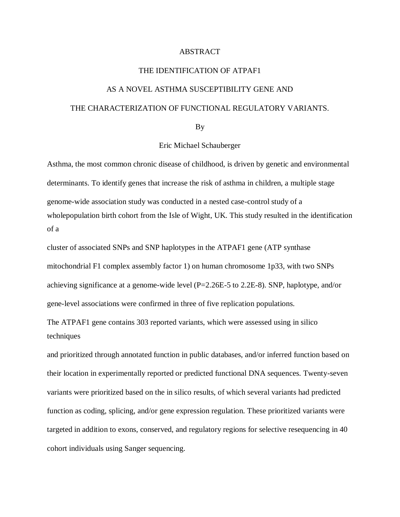## ABSTRACT

## THE IDENTIFICATION OF ATPAF1

## AS A NOVEL ASTHMA SUSCEPTIBILITY GENE AND THE CHARACTERIZATION OF FUNCTIONAL REGULATORY VARIANTS.

By

## Eric Michael Schauberger

Asthma, the most common chronic disease of childhood, is driven by genetic and environmental determinants. To identify genes that increase the risk of asthma in children, a multiple stage genome-wide association study was conducted in a nested case-control study of a wholepopulation birth cohort from the Isle of Wight, UK. This study resulted in the identification of a

cluster of associated SNPs and SNP haplotypes in the ATPAF1 gene (ATP synthase mitochondrial F1 complex assembly factor 1) on human chromosome 1p33, with two SNPs achieving significance at a genome-wide level (P=2.26E-5 to 2.2E-8). SNP, haplotype, and/or gene-level associations were confirmed in three of five replication populations.

The ATPAF1 gene contains 303 reported variants, which were assessed using in silico techniques

and prioritized through annotated function in public databases, and/or inferred function based on their location in experimentally reported or predicted functional DNA sequences. Twenty-seven variants were prioritized based on the in silico results, of which several variants had predicted function as coding, splicing, and/or gene expression regulation. These prioritized variants were targeted in addition to exons, conserved, and regulatory regions for selective resequencing in 40 cohort individuals using Sanger sequencing.